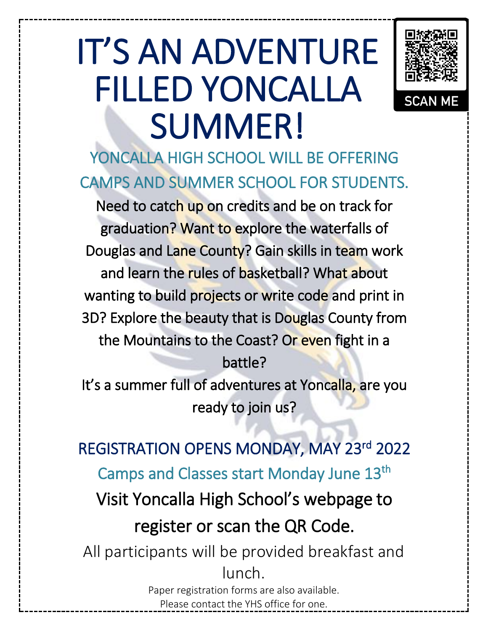## IT'S AN ADVENTURE FILLED YONCALLA SUMMER!



YONCALLA HIGH SCHOOL WILL BE OFFERING CAMPS AND SUMMER SCHOOL FOR STUDENTS.

Need to catch up on credits and be on track for graduation? Want to explore the waterfalls of Douglas and Lane County? Gain skills in team work and learn the rules of basketball? What about wanting to build projects or write code and print in 3D? Explore the beauty that is Douglas County from the Mountains to the Coast? Or even fight in a battle?

It's a summer full of adventures at Yoncalla, are you ready to join us?

REGISTRATION OPENS MONDAY, MAY 23rd 2022 Camps and Classes start Monday June 13<sup>th</sup> Visit Yoncalla High School's webpage to register or scan the QR Code. All participants will be provided breakfast and lunch.

Paper registration forms are also available. Please contact the YHS office for one.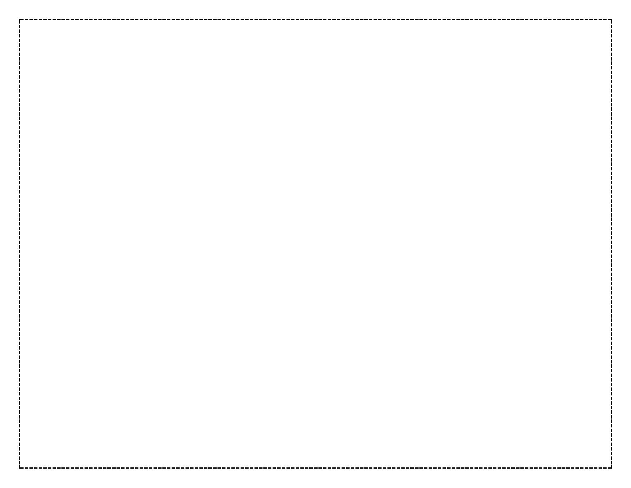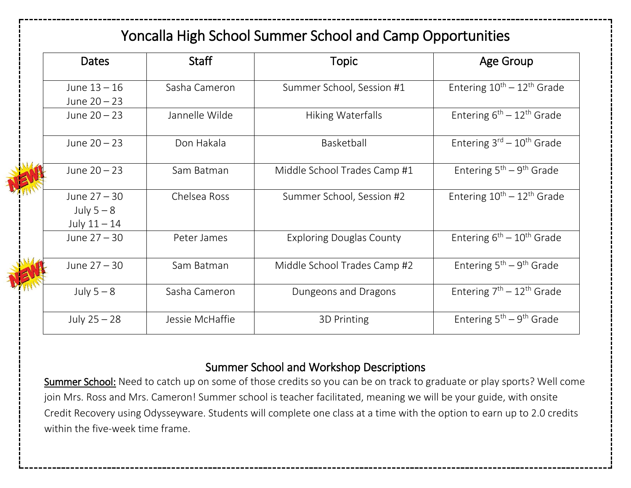|  | <b>Dates</b>                                   | <b>Staff</b>    | <b>Topic</b>                    | <b>Age Group</b>                                |
|--|------------------------------------------------|-----------------|---------------------------------|-------------------------------------------------|
|  | June $13 - 16$                                 | Sasha Cameron   | Summer School, Session #1       | Entering $10^{th} - 12^{th}$ Grade              |
|  | June $20 - 23$<br>June $20 - 23$               | Jannelle Wilde  | <b>Hiking Waterfalls</b>        | Entering $6^{th} - 12^{th}$ Grade               |
|  | June $20 - 23$                                 | Don Hakala      | Basketball                      | Entering $3^{\text{rd}} - 10^{\text{th}}$ Grade |
|  | June $20 - 23$                                 | Sam Batman      | Middle School Trades Camp #1    | Entering $5^{th} - 9^{th}$ Grade                |
|  | June $27 - 30$<br>July $5-8$<br>July $11 - 14$ | Chelsea Ross    | Summer School, Session #2       | Entering $10^{th} - 12^{th}$ Grade              |
|  | June $27 - 30$                                 | Peter James     | <b>Exploring Douglas County</b> | Entering $6^{th}$ – 10 <sup>th</sup> Grade      |
|  | June $27 - 30$                                 | Sam Batman      | Middle School Trades Camp #2    | Entering $5^{th} - 9^{th}$ Grade                |
|  | July $5 - 8$                                   | Sasha Cameron   | Dungeons and Dragons            | Entering $7th - 12th$ Grade                     |
|  | July $25 - 28$                                 | Jessie McHaffie | 3D Printing                     | Entering $5^{th}$ – 9 <sup>th</sup> Grade       |

## Summer School and Workshop Descriptions

Summer School: Need to catch up on some of those credits so you can be on track to graduate or play sports? Well come join Mrs. Ross and Mrs. Cameron! Summer school is teacher facilitated, meaning we will be your guide, with onsite Credit Recovery using Odysseyware. Students will complete one class at a time with the option to earn up to 2.0 credits within the five-week time frame.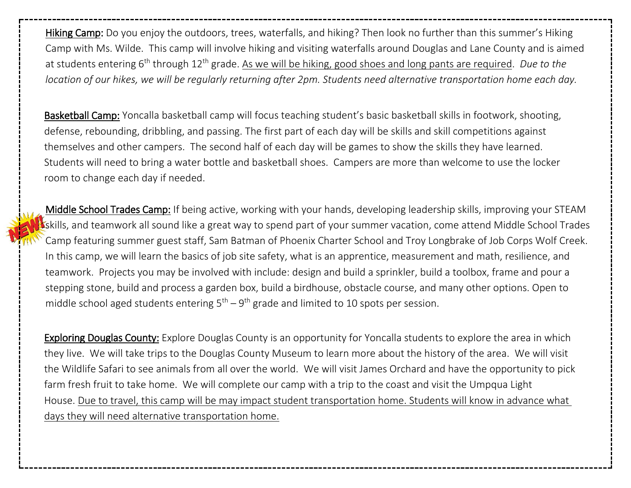Hiking Camp: Do you enjoy the outdoors, trees, waterfalls, and hiking? Then look no further than this summer's Hiking Camp with Ms. Wilde. This camp will involve hiking and visiting waterfalls around Douglas and Lane County and is aimed at students entering 6th through 12th grade. As we will be hiking, good shoes and long pants are required. *Due to the location of our hikes, we will be regularly returning after 2pm. Students need alternative transportation home each day.* 

Basketball Camp: Yoncalla basketball camp will focus teaching student's basic basketball skills in footwork, shooting, defense, rebounding, dribbling, and passing. The first part of each day will be skills and skill competitions against themselves and other campers. The second half of each day will be games to show the skills they have learned. Students will need to bring a water bottle and basketball shoes. Campers are more than welcome to use the locker room to change each day if needed.

Middle School Trades Camp: If being active, working with your hands, developing leadership skills, improving your STEAM skills, and teamwork all sound like a great way to spend part of your summer vacation, come attend Middle School Trades Camp featuring summer guest staff, Sam Batman of Phoenix Charter School and Troy Longbrake of Job Corps Wolf Creek. In this camp, we will learn the basics of job site safety, what is an apprentice, measurement and math, resilience, and teamwork. Projects you may be involved with include: design and build a sprinkler, build a toolbox, frame and pour a stepping stone, build and process a garden box, build a birdhouse, obstacle course, and many other options. Open to middle school aged students entering  $5<sup>th</sup> - 9<sup>th</sup>$  grade and limited to 10 spots per session.

Exploring Douglas County: Explore Douglas County is an opportunity for Yoncalla students to explore the area in which they live. We will take trips to the Douglas County Museum to learn more about the history of the area. We will visit the Wildlife Safari to see animals from all over the world. We will visit James Orchard and have the opportunity to pick farm fresh fruit to take home. We will complete our camp with a trip to the coast and visit the Umpqua Light House. Due to travel, this camp will be may impact student transportation home. Students will know in advance what days they will need alternative transportation home.

 $\overline{a}$